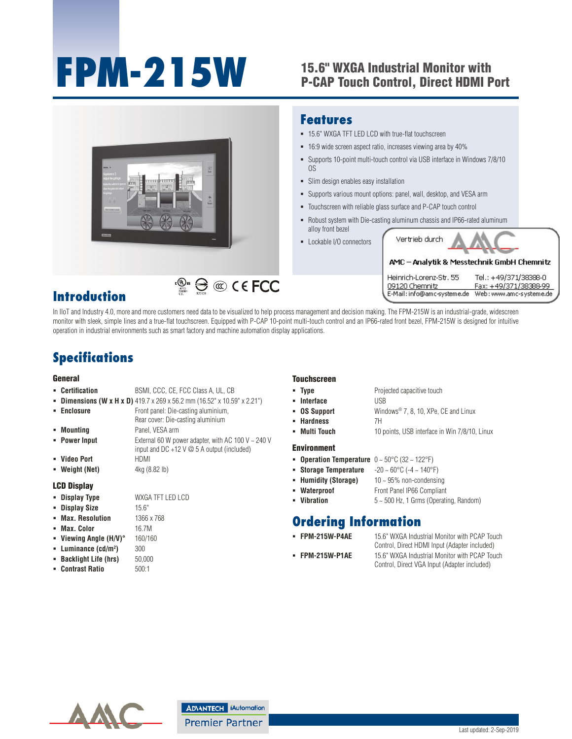# **FPM-215W** 15.6" WXGA Industrial Monitor with

## P-CAP Touch Control, Direct HDMI Port



## **Introduction**

In IIoT and Industry 4.0, more and more customers need data to be visualized to help process management and decision making. The FPM-215W is an industrial-grade, widescreen monitor with sleek, simple lines and a true-flat touchscreen. Equipped with P-CAP 10-point multi-touch control and an IP66-rated front bezel, FPM-215W is designed for intuitive operation in industrial environments such as smart factory and machine automation display applications.

## **Specifications**

#### General

- **Certification** BSMI, CCC, CE, FCC Class A, UL, CB
- **Dimensions (W x H x D)** 419.7 x 269 x 56.2 mm (16.52" x 10.59" x 2.21")
- **Enclosure Front panel: Die-casting aluminium,** Rear cover: Die-casting aluminium **Mounting** Panel, VESA arm

**)** 300

- **Power Input** External 60 W power adapter, with AC 100 V ~ 240 V input and DC +12 V @ 5 A output (included) **Video Port** HDMI
- **Weight (Net)**  $4kg (8.82 lb)$
- LCD Display
- **Display Type** WXGA TFT LED LCD
- **Display Size** 15.6"
- **Max. Resolution** 1366 x 768
- **Max. Color** 16.7M
- **Viewing Angle (H/V)°** 160/160
- **Luminance (cd/m2**
- **Backlight Life (hrs)** 50,000
- **Contrast Ratio** 500:1

#### **Touchscreen**

**Type** Projected capacitive touch **Interface** USB **OS Support** Windows® 7, 8, 10, XPe, CE and Linux **Hardness** 7H **Multi Touch** 10 points, USB interface in Win 7/8/10, Linux

#### Environment

- 
- 
- **Humidity (Storage)** 10 ~ 95% non-condensing
- **Waterproof Front Panel IP66 Compliant**
- **Vibration** 5 ~ 500 Hz, 1 Grms (Operating, Random)

#### **Ordering Information**

- 
- **FPM-215W-P4AE** 15.6" WXGA Industrial Monitor with PCAP Touch Control, Direct HDMI Input (Adapter included) **FPM-215W-P1AE** 15.6" WXGA Industrial Monitor with PCAP Touch

E-Mail: info@amc-systeme.de

Web: www.amc-systeme.de

Control, Direct VGA Input (Adapter included)

All product specifications are subject to change without notice. Last updated: 2-Sep-2019

**ADVANTECH iAutomation Premier Partner** 

- **Operation Temperature** 0 ~ 50°C (32 ~ 122°F)
- **Storage Temperature** -20 ~ 60°C (-4 ~ 140°F)
	-
- 
- 

- 
- 
- 
-